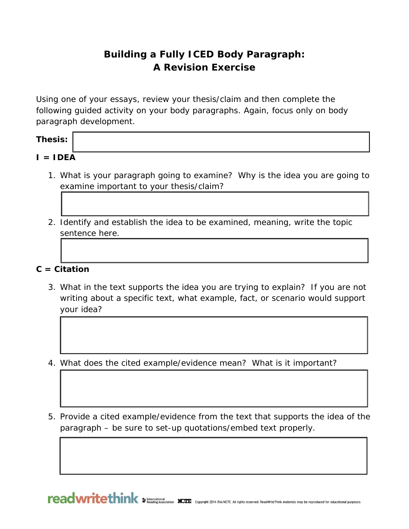# **Building a Fully ICED Body Paragraph: A Revision Exercise**

Using one of your essays, review your thesis/claim and then complete the following guided activity on your body paragraphs. Again, focus only on body paragraph development.

## **Thesis:**

- $I = IDEA$ 
	- 1. What is your paragraph going to examine? Why is the idea you are going to examine important to your thesis/claim?
	- 2. Identify and establish the idea to be examined, meaning, write the topic sentence here.

## **C = Citation**

- 3. What in the text supports the idea you are trying to explain? If you are not writing about a specific text, what example, fact, or scenario would support your idea?
- 4. What does the cited example/evidence mean? What is it important?
- 5. Provide a cited example/evidence from the text that supports the idea of the paragraph – be sure to set-up quotations/embed text properly.

reading Association NCIE Copyright 2014 IRA/NCTE. All rights reserved. ReadWriteThink materials may be reproduced for educational purposes.